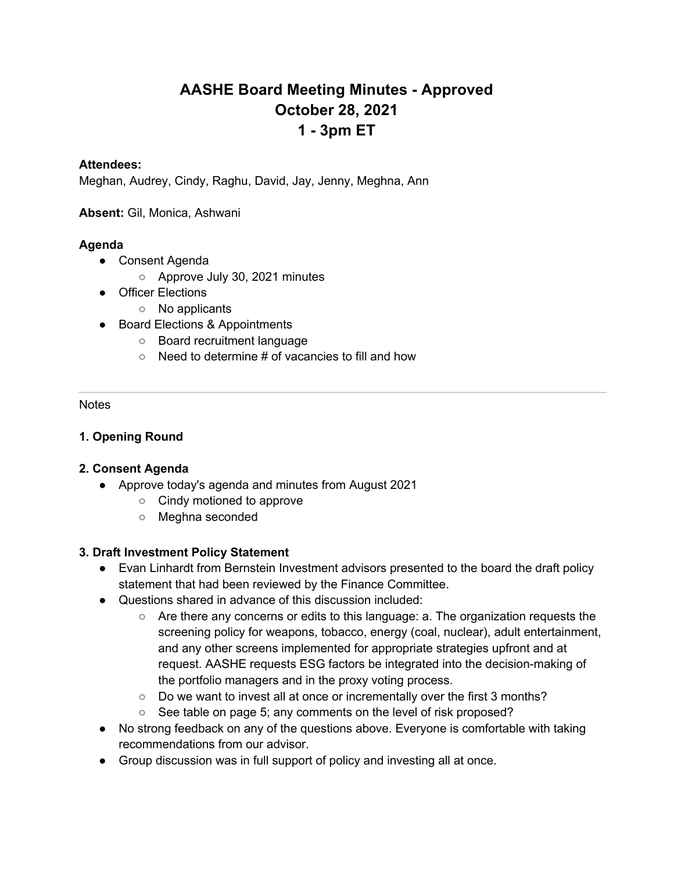# **AASHE Board Meeting Minutes - Approved October 28, 2021 1 - 3pm ET**

#### **Attendees:**

Meghan, Audrey, Cindy, Raghu, David, Jay, Jenny, Meghna, Ann

**Absent:** Gil, Monica, Ashwani

#### **Agenda**

- Consent Agenda
	- Approve July 30, 2021 minutes
- Officer Elections
	- No applicants
- Board Elections & Appointments
	- Board recruitment language
	- $\circ$  Need to determine # of vacancies to fill and how

#### Notes

#### **1. Opening Round**

#### **2. Consent Agenda**

- Approve today's agenda and minutes from August 2021
	- Cindy motioned to approve
	- Meghna seconded

#### **3. Draft Investment Policy Statement**

- Evan Linhardt from Bernstein Investment advisors presented to the board the draft policy statement that had been reviewed by the Finance Committee.
- Questions shared in advance of this discussion included:
	- Are there any concerns or edits to this language: a. The organization requests the screening policy for weapons, tobacco, energy (coal, nuclear), adult entertainment, and any other screens implemented for appropriate strategies upfront and at request. AASHE requests ESG factors be integrated into the decision-making of the portfolio managers and in the proxy voting process.
	- Do we want to invest all at once or incrementally over the first 3 months?
	- See table on page 5; any comments on the level of risk proposed?
- No strong feedback on any of the questions above. Everyone is comfortable with taking recommendations from our advisor.
- Group discussion was in full support of policy and investing all at once.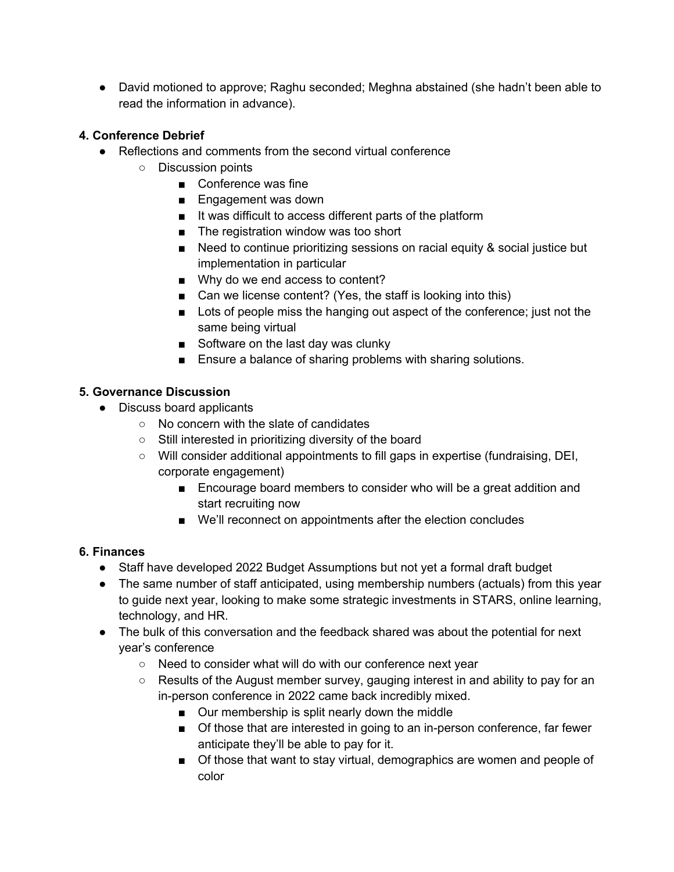● David motioned to approve; Raghu seconded; Meghna abstained (she hadn't been able to read the information in advance).

# **4. Conference Debrief**

- Reflections and comments from the second virtual conference
	- Discussion points
		- Conference was fine
		- Engagement was down
		- It was difficult to access different parts of the platform
		- The registration window was too short
		- Need to continue prioritizing sessions on racial equity & social justice but implementation in particular
		- Why do we end access to content?
		- Can we license content? (Yes, the staff is looking into this)
		- Lots of people miss the hanging out aspect of the conference; just not the same being virtual
		- Software on the last day was clunky
		- Ensure a balance of sharing problems with sharing solutions.

## **5. Governance Discussion**

- Discuss board applicants
	- No concern with the slate of candidates
	- Still interested in prioritizing diversity of the board
	- Will consider additional appointments to fill gaps in expertise (fundraising, DEI, corporate engagement)
		- Encourage board members to consider who will be a great addition and start recruiting now
		- We'll reconnect on appointments after the election concludes

## **6. Finances**

- Staff have developed 2022 Budget Assumptions but not yet a formal draft budget
- The same number of staff anticipated, using membership numbers (actuals) from this year to guide next year, looking to make some strategic investments in STARS, online learning, technology, and HR.
- The bulk of this conversation and the feedback shared was about the potential for next year's conference
	- Need to consider what will do with our conference next year
	- Results of the August member survey, gauging interest in and ability to pay for an in-person conference in 2022 came back incredibly mixed.
		- Our membership is split nearly down the middle
		- Of those that are interested in going to an in-person conference, far fewer anticipate they'll be able to pay for it.
		- Of those that want to stay virtual, demographics are women and people of color